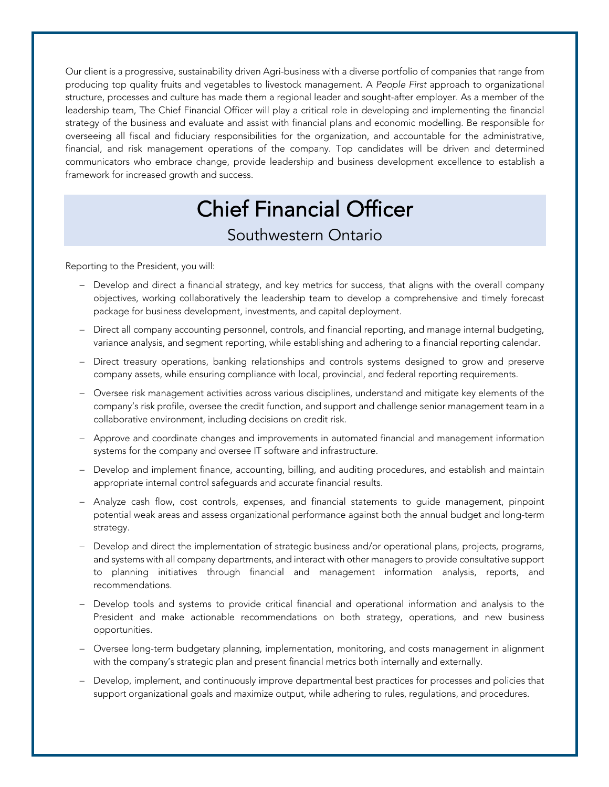Our client is a progressive, sustainability driven Agri-business with a diverse portfolio of companies that range from producing top quality fruits and vegetables to livestock management. A *People First* approach to organizational structure, processes and culture has made them a regional leader and sought-after employer. As a member of the leadership team, The Chief Financial Officer will play a critical role in developing and implementing the financial strategy of the business and evaluate and assist with financial plans and economic modelling. Be responsible for overseeing all fiscal and fiduciary responsibilities for the organization, and accountable for the administrative, financial, and risk management operations of the company. Top candidates will be driven and determined communicators who embrace change, provide leadership and business development excellence to establish a framework for increased growth and success.

## Chief Financial Officer Southwestern Ontario

Reporting to the President, you will:

- Develop and direct a financial strategy, and key metrics for success, that aligns with the overall company objectives, working collaboratively the leadership team to develop a comprehensive and timely forecast package for business development, investments, and capital deployment.
- Direct all company accounting personnel, controls, and financial reporting, and manage internal budgeting, variance analysis, and segment reporting, while establishing and adhering to a financial reporting calendar.
- Direct treasury operations, banking relationships and controls systems designed to grow and preserve company assets, while ensuring compliance with local, provincial, and federal reporting requirements.
- Oversee risk management activities across various disciplines, understand and mitigate key elements of the company's risk profile, oversee the credit function, and support and challenge senior management team in a collaborative environment, including decisions on credit risk.
- Approve and coordinate changes and improvements in automated financial and management information systems for the company and oversee IT software and infrastructure.
- Develop and implement finance, accounting, billing, and auditing procedures, and establish and maintain appropriate internal control safeguards and accurate financial results.
- Analyze cash flow, cost controls, expenses, and financial statements to guide management, pinpoint potential weak areas and assess organizational performance against both the annual budget and long-term strategy.
- Develop and direct the implementation of strategic business and/or operational plans, projects, programs, and systems with all company departments, and interact with other managers to provide consultative support to planning initiatives through financial and management information analysis, reports, and recommendations.
- Develop tools and systems to provide critical financial and operational information and analysis to the President and make actionable recommendations on both strategy, operations, and new business opportunities.
- Oversee long-term budgetary planning, implementation, monitoring, and costs management in alignment with the company's strategic plan and present financial metrics both internally and externally.
- Develop, implement, and continuously improve departmental best practices for processes and policies that support organizational goals and maximize output, while adhering to rules, regulations, and procedures.